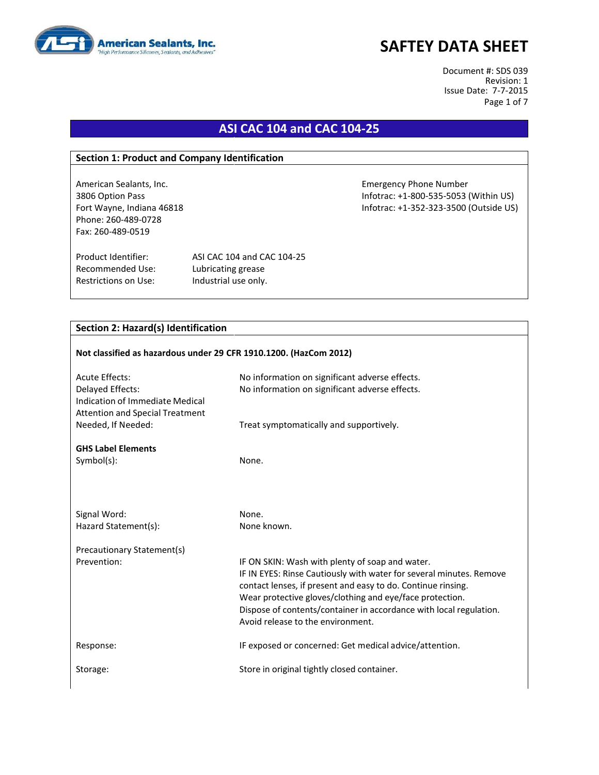

Document #: SDS 039 Revision: 1 Issue Date: 7-7-2015 Page 1 of 7

## **ASI CAC 104 and CAC 104-25**

#### **Section 1: Product and Company Identification**

Phone: 260-489-0728 Fax: 260-489-0519

Recommended Use: Lubricating grease Restrictions on Use: Industrial use only.

Product Identifier: ASI CAC 104 and CAC 104-25

### **Section 2: Hazard(s) Identification**

| Not classified as hazardous under 29 CFR 1910.1200. (HazCom 2012)                             |                                                                                                                                                                                                                                                                                                                                                               |  |  |
|-----------------------------------------------------------------------------------------------|---------------------------------------------------------------------------------------------------------------------------------------------------------------------------------------------------------------------------------------------------------------------------------------------------------------------------------------------------------------|--|--|
| <b>Acute Effects:</b>                                                                         | No information on significant adverse effects.                                                                                                                                                                                                                                                                                                                |  |  |
| Delayed Effects:<br>Indication of Immediate Medical<br><b>Attention and Special Treatment</b> | No information on significant adverse effects.                                                                                                                                                                                                                                                                                                                |  |  |
| Needed, If Needed:                                                                            | Treat symptomatically and supportively.                                                                                                                                                                                                                                                                                                                       |  |  |
| <b>GHS Label Elements</b>                                                                     |                                                                                                                                                                                                                                                                                                                                                               |  |  |
| $Symbol(s)$ :                                                                                 | None.                                                                                                                                                                                                                                                                                                                                                         |  |  |
|                                                                                               |                                                                                                                                                                                                                                                                                                                                                               |  |  |
| Signal Word:                                                                                  | None.                                                                                                                                                                                                                                                                                                                                                         |  |  |
| Hazard Statement(s):                                                                          | None known.                                                                                                                                                                                                                                                                                                                                                   |  |  |
| Precautionary Statement(s)                                                                    |                                                                                                                                                                                                                                                                                                                                                               |  |  |
| Prevention:                                                                                   | IF ON SKIN: Wash with plenty of soap and water.<br>IF IN EYES: Rinse Cautiously with water for several minutes. Remove<br>contact lenses, if present and easy to do. Continue rinsing.<br>Wear protective gloves/clothing and eye/face protection.<br>Dispose of contents/container in accordance with local regulation.<br>Avoid release to the environment. |  |  |
| Response:                                                                                     | IF exposed or concerned: Get medical advice/attention.                                                                                                                                                                                                                                                                                                        |  |  |
| Storage:                                                                                      | Store in original tightly closed container.                                                                                                                                                                                                                                                                                                                   |  |  |

American Sealants, Inc. Emergency Phone Number 3806 Option Pass Infotrac: +1-800-535-5053 (Within US) Fort Wayne, Indiana 46818 **Information** Infotrac: +1-352-323-3500 (Outside US)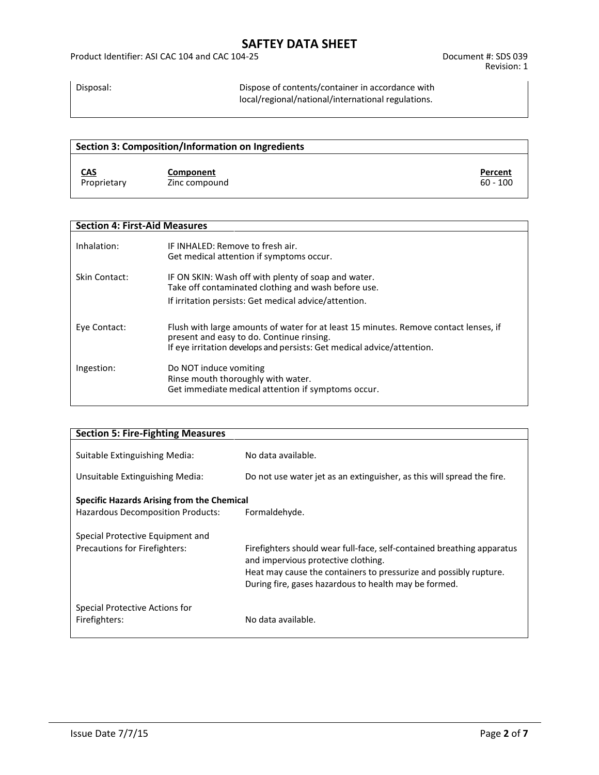Disposal: Dispose of contents/container in accordance with local/regional/national/international regulations.

| Section 3: Composition/Information on Ingredients |               |            |
|---------------------------------------------------|---------------|------------|
| <u>CAS</u>                                        | Component     | Percent    |
| Proprietary                                       | Zinc compound | $60 - 100$ |

| <b>Section 4: First-Aid Measures</b> |                                                                                                                                                                                                             |  |
|--------------------------------------|-------------------------------------------------------------------------------------------------------------------------------------------------------------------------------------------------------------|--|
| Inhalation:                          | IF INHALED: Remove to fresh air.<br>Get medical attention if symptoms occur.                                                                                                                                |  |
| Skin Contact:                        | IF ON SKIN: Wash off with plenty of soap and water.<br>Take off contaminated clothing and wash before use.                                                                                                  |  |
|                                      | If irritation persists: Get medical advice/attention.                                                                                                                                                       |  |
| Eye Contact:                         | Flush with large amounts of water for at least 15 minutes. Remove contact lenses, if<br>present and easy to do. Continue rinsing.<br>If eye irritation develops and persists: Get medical advice/attention. |  |
| Ingestion:                           | Do NOT induce vomiting<br>Rinse mouth thoroughly with water.<br>Get immediate medical attention if symptoms occur.                                                                                          |  |

| <b>Section 5: Fire-Fighting Measures</b>                          |                                                                                                                                                                                                                                             |
|-------------------------------------------------------------------|---------------------------------------------------------------------------------------------------------------------------------------------------------------------------------------------------------------------------------------------|
| Suitable Extinguishing Media:                                     | No data available.                                                                                                                                                                                                                          |
| Unsuitable Extinguishing Media:                                   | Do not use water jet as an extinguisher, as this will spread the fire.                                                                                                                                                                      |
| Specific Hazards Arising from the Chemical                        |                                                                                                                                                                                                                                             |
| Hazardous Decomposition Products:                                 | Formaldehyde.                                                                                                                                                                                                                               |
| Special Protective Equipment and<br>Precautions for Firefighters: | Firefighters should wear full-face, self-contained breathing apparatus<br>and impervious protective clothing.<br>Heat may cause the containers to pressurize and possibly rupture.<br>During fire, gases hazardous to health may be formed. |
| Special Protective Actions for<br>Firefighters:                   | No data available.                                                                                                                                                                                                                          |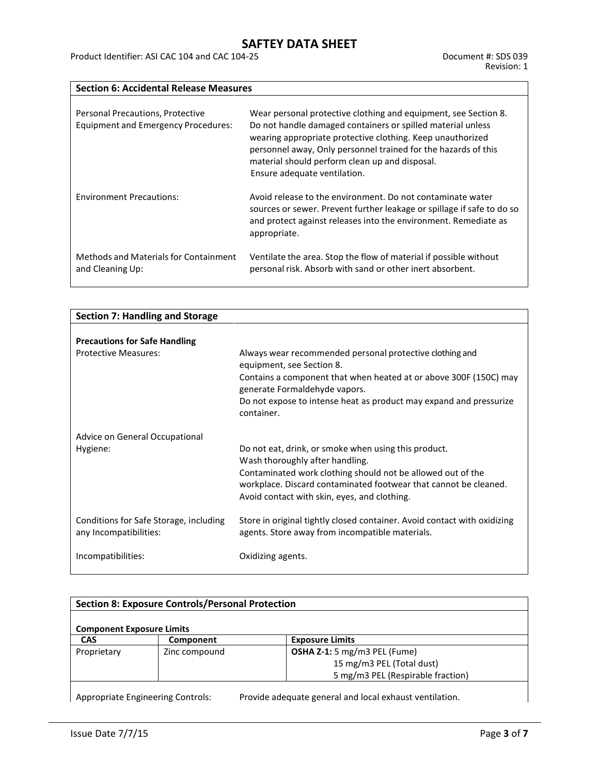**Section 6: Accidental Release Measures**

| Personal Precautions, Protective<br><b>Equipment and Emergency Procedures:</b> | Wear personal protective clothing and equipment, see Section 8.<br>Do not handle damaged containers or spilled material unless<br>wearing appropriate protective clothing. Keep unauthorized<br>personnel away, Only personnel trained for the hazards of this<br>material should perform clean up and disposal.<br>Ensure adequate ventilation. |
|--------------------------------------------------------------------------------|--------------------------------------------------------------------------------------------------------------------------------------------------------------------------------------------------------------------------------------------------------------------------------------------------------------------------------------------------|
| <b>Environment Precautions:</b>                                                | Avoid release to the environment. Do not contaminate water<br>sources or sewer. Prevent further leakage or spillage if safe to do so<br>and protect against releases into the environment. Remediate as<br>appropriate.                                                                                                                          |
| Methods and Materials for Containment<br>and Cleaning Up:                      | Ventilate the area. Stop the flow of material if possible without<br>personal risk. Absorb with sand or other inert absorbent.                                                                                                                                                                                                                   |

| <b>Section 7: Handling and Storage</b>                           |                                                                                                                             |
|------------------------------------------------------------------|-----------------------------------------------------------------------------------------------------------------------------|
|                                                                  |                                                                                                                             |
| <b>Precautions for Safe Handling</b>                             |                                                                                                                             |
| <b>Protective Measures:</b>                                      | Always wear recommended personal protective clothing and<br>equipment, see Section 8.                                       |
|                                                                  | Contains a component that when heated at or above 300F (150C) may<br>generate Formaldehyde vapors.                          |
|                                                                  | Do not expose to intense heat as product may expand and pressurize<br>container.                                            |
| Advice on General Occupational                                   |                                                                                                                             |
| Hygiene:                                                         | Do not eat, drink, or smoke when using this product.<br>Wash thoroughly after handling.                                     |
|                                                                  | Contaminated work clothing should not be allowed out of the                                                                 |
|                                                                  | workplace. Discard contaminated footwear that cannot be cleaned.                                                            |
|                                                                  | Avoid contact with skin, eyes, and clothing.                                                                                |
| Conditions for Safe Storage, including<br>any Incompatibilities: | Store in original tightly closed container. Avoid contact with oxidizing<br>agents. Store away from incompatible materials. |
| Incompatibilities:                                               | Oxidizing agents.                                                                                                           |

| <b>Section 8: Exposure Controls/Personal Protection</b> |                                          |                                                         |  |
|---------------------------------------------------------|------------------------------------------|---------------------------------------------------------|--|
| <b>Component Exposure Limits</b>                        |                                          |                                                         |  |
| <b>CAS</b>                                              | Component                                | <b>Exposure Limits</b>                                  |  |
| Proprietary                                             | Zinc compound                            | OSHA Z-1: 5 mg/m3 PEL (Fume)                            |  |
|                                                         |                                          | 15 mg/m3 PEL (Total dust)                               |  |
|                                                         |                                          | 5 mg/m3 PEL (Respirable fraction)                       |  |
|                                                         | <b>Appropriate Engineering Controls:</b> | Provide adequate general and local exhaust ventilation. |  |

Appropriate Engineering Controls: Provide adequate general and local exhaust ventilation.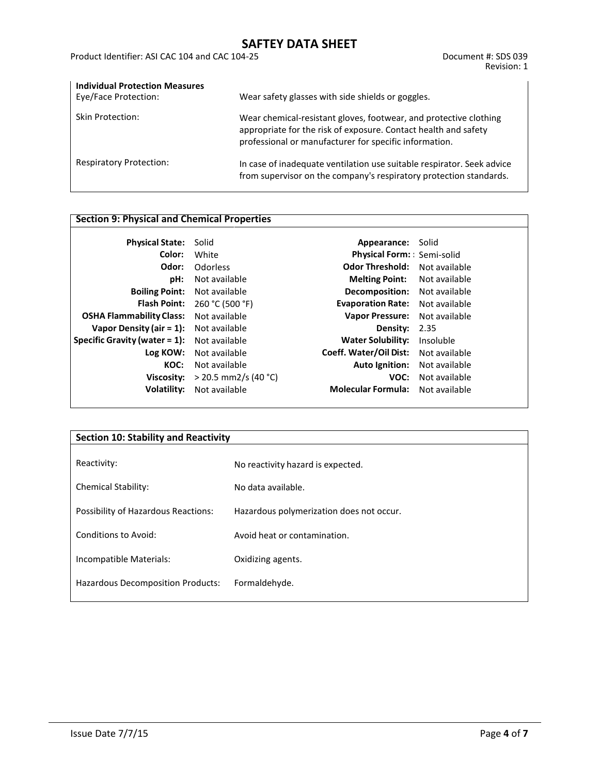Product Identifier: ASI CAC 104 and CAC 104-25 Document #: SDS 039

| <b>Individual Protection Measures</b><br>Eye/Face Protection: | Wear safety glasses with side shields or goggles.                                                                                                                                              |
|---------------------------------------------------------------|------------------------------------------------------------------------------------------------------------------------------------------------------------------------------------------------|
| Skin Protection:                                              | Wear chemical-resistant gloves, footwear, and protective clothing<br>appropriate for the risk of exposure. Contact health and safety<br>professional or manufacturer for specific information. |
| <b>Respiratory Protection:</b>                                | In case of inadequate ventilation use suitable respirator. Seek advice<br>from supervisor on the company's respiratory protection standards.                                                   |

### **Section 9: Physical and Chemical Properties**

| <b>Physical State:</b><br>Solid  |                        | Appearance: Solid         |               |
|----------------------------------|------------------------|---------------------------|---------------|
| Color:                           | White                  | Physical Form: Semi-solid |               |
| Odor:                            | Odorless               | <b>Odor Threshold:</b>    | Not available |
| pH:                              | Not available          | <b>Melting Point:</b>     | Not available |
| <b>Boiling Point:</b>            | Not available          | Decomposition:            | Not available |
| <b>Flash Point:</b>              | 260 °C (500 °F)        | <b>Evaporation Rate:</b>  | Not available |
| <b>OSHA Flammability Class:</b>  | Not available          | <b>Vapor Pressure:</b>    | Not available |
| Vapor Density (air = $1$ ):      | Not available          | Density:                  | 2.35          |
| Specific Gravity (water $= 1$ ): | Not available          | <b>Water Solubility:</b>  | Insoluble     |
| Log KOW:                         | Not available          | Coeff. Water/Oil Dist:    | Not available |
| KOC:                             | Not available          | <b>Auto Ignition:</b>     | Not available |
| Viscosity:                       | $>$ 20.5 mm2/s (40 °C) | VOC:                      | Not available |
| <b>Volatility:</b>               | Not available          | <b>Molecular Formula:</b> | Not available |
|                                  |                        |                           |               |

| <b>Section 10: Stability and Reactivity</b> |                                          |  |
|---------------------------------------------|------------------------------------------|--|
| Reactivity:                                 | No reactivity hazard is expected.        |  |
| <b>Chemical Stability:</b>                  | No data available.                       |  |
| Possibility of Hazardous Reactions:         | Hazardous polymerization does not occur. |  |
| Conditions to Avoid:                        | Avoid heat or contamination.             |  |
| Incompatible Materials:                     | Oxidizing agents.                        |  |
| Hazardous Decomposition Products:           | Formaldehyde.                            |  |
|                                             |                                          |  |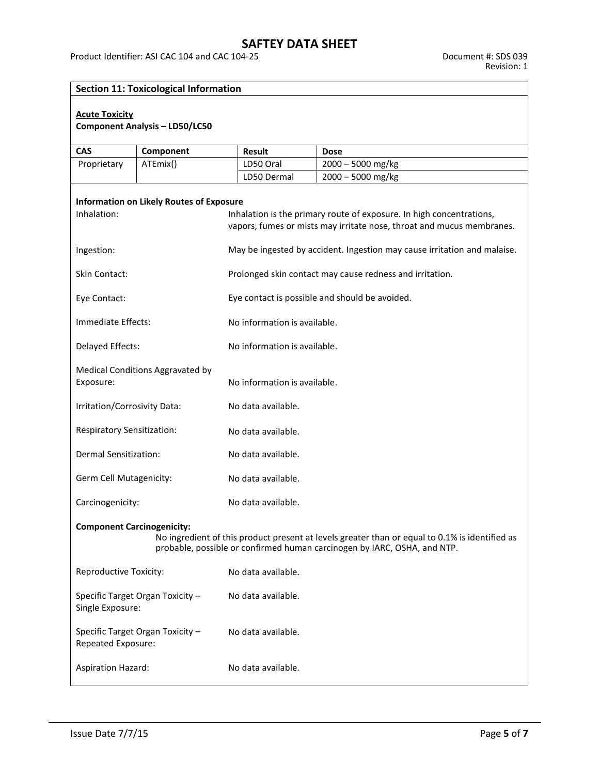### **Section 11: Toxicological Information**

#### **Acute Toxicity**

### **Component Analysis – LD50/LC50**

| <b>CAS</b>                                  | Component                                       | <b>Result</b>                                                            | <b>Dose</b>                                                                                    |  |
|---------------------------------------------|-------------------------------------------------|--------------------------------------------------------------------------|------------------------------------------------------------------------------------------------|--|
| Proprietary                                 | ATEmix()                                        | LD50 Oral                                                                | $2000 - 5000$ mg/kg                                                                            |  |
|                                             |                                                 | LD50 Dermal                                                              | $2000 - 5000$ mg/kg                                                                            |  |
|                                             |                                                 |                                                                          |                                                                                                |  |
|                                             | <b>Information on Likely Routes of Exposure</b> |                                                                          |                                                                                                |  |
| Inhalation:                                 |                                                 |                                                                          | Inhalation is the primary route of exposure. In high concentrations,                           |  |
|                                             |                                                 |                                                                          | vapors, fumes or mists may irritate nose, throat and mucus membranes.                          |  |
|                                             |                                                 |                                                                          |                                                                                                |  |
| Ingestion:                                  |                                                 | May be ingested by accident. Ingestion may cause irritation and malaise. |                                                                                                |  |
|                                             |                                                 |                                                                          |                                                                                                |  |
| Skin Contact:                               |                                                 | Prolonged skin contact may cause redness and irritation.                 |                                                                                                |  |
|                                             |                                                 |                                                                          |                                                                                                |  |
| Eye Contact:                                |                                                 |                                                                          | Eye contact is possible and should be avoided.                                                 |  |
|                                             |                                                 |                                                                          |                                                                                                |  |
| Immediate Effects:                          |                                                 | No information is available.                                             |                                                                                                |  |
|                                             |                                                 |                                                                          |                                                                                                |  |
| Delayed Effects:                            |                                                 | No information is available.                                             |                                                                                                |  |
|                                             |                                                 |                                                                          |                                                                                                |  |
|                                             | Medical Conditions Aggravated by                |                                                                          |                                                                                                |  |
| Exposure:                                   |                                                 | No information is available.                                             |                                                                                                |  |
|                                             |                                                 |                                                                          |                                                                                                |  |
| Irritation/Corrosivity Data:                |                                                 | No data available.                                                       |                                                                                                |  |
|                                             |                                                 |                                                                          |                                                                                                |  |
| <b>Respiratory Sensitization:</b>           | No data available.                              |                                                                          |                                                                                                |  |
|                                             |                                                 |                                                                          |                                                                                                |  |
| Dermal Sensitization:<br>No data available. |                                                 |                                                                          |                                                                                                |  |
|                                             |                                                 |                                                                          |                                                                                                |  |
|                                             | Germ Cell Mutagenicity:<br>No data available.   |                                                                          |                                                                                                |  |
|                                             |                                                 |                                                                          |                                                                                                |  |
| Carcinogenicity:                            |                                                 | No data available.                                                       |                                                                                                |  |
|                                             |                                                 |                                                                          |                                                                                                |  |
| <b>Component Carcinogenicity:</b>           |                                                 |                                                                          |                                                                                                |  |
|                                             |                                                 |                                                                          | No ingredient of this product present at levels greater than or equal to 0.1% is identified as |  |
|                                             |                                                 |                                                                          | probable, possible or confirmed human carcinogen by IARC, OSHA, and NTP.                       |  |
|                                             |                                                 |                                                                          |                                                                                                |  |
| Reproductive Toxicity:                      |                                                 | No data available.                                                       |                                                                                                |  |
|                                             |                                                 |                                                                          |                                                                                                |  |
|                                             | Specific Target Organ Toxicity -                | No data available.                                                       |                                                                                                |  |
| Single Exposure:                            |                                                 |                                                                          |                                                                                                |  |
|                                             |                                                 |                                                                          |                                                                                                |  |
|                                             | Specific Target Organ Toxicity -                | No data available.                                                       |                                                                                                |  |
| Repeated Exposure:                          |                                                 |                                                                          |                                                                                                |  |
|                                             |                                                 |                                                                          |                                                                                                |  |
| <b>Aspiration Hazard:</b>                   |                                                 | No data available.                                                       |                                                                                                |  |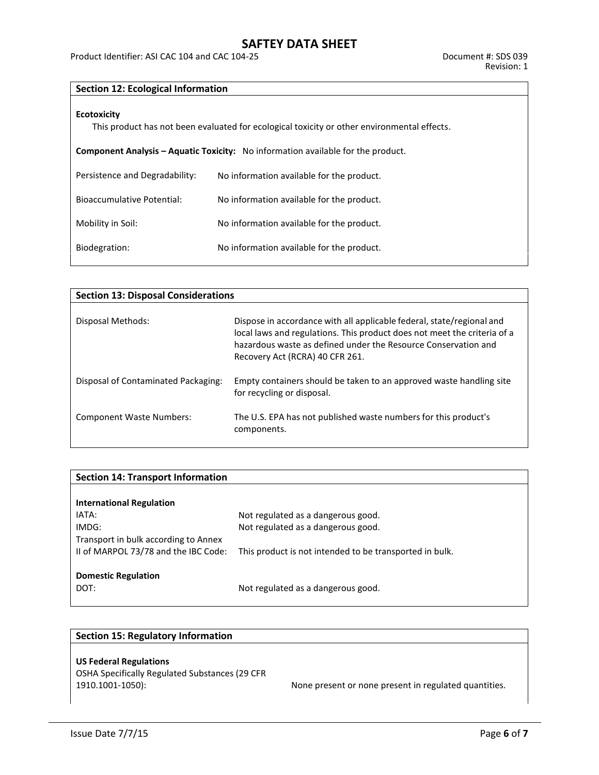Product Identifier: ASI CAC 104 and CAC 104-25 **Document #: SDS 039** Document #: SDS 039

### **Section 12: Ecological Information**

#### **Ecotoxicity**

This product has not been evaluated for ecological toxicity or other environmental effects.

| <b>Component Analysis – Aquatic Toxicity:</b> No information available for the product. |
|-----------------------------------------------------------------------------------------|
|                                                                                         |

| Persistence and Degradability:    | No information available for the product. |
|-----------------------------------|-------------------------------------------|
| <b>Bioaccumulative Potential:</b> | No information available for the product. |
| Mobility in Soil:                 | No information available for the product. |
| Biodegration:                     | No information available for the product. |

| <b>Section 13: Disposal Considerations</b> |                                                                                                                                                                                                                                                        |  |  |  |
|--------------------------------------------|--------------------------------------------------------------------------------------------------------------------------------------------------------------------------------------------------------------------------------------------------------|--|--|--|
| Disposal Methods:                          | Dispose in accordance with all applicable federal, state/regional and<br>local laws and regulations. This product does not meet the criteria of a<br>hazardous waste as defined under the Resource Conservation and<br>Recovery Act (RCRA) 40 CFR 261. |  |  |  |
| Disposal of Contaminated Packaging:        | Empty containers should be taken to an approved waste handling site<br>for recycling or disposal.                                                                                                                                                      |  |  |  |
| <b>Component Waste Numbers:</b>            | The U.S. EPA has not published waste numbers for this product's<br>components.                                                                                                                                                                         |  |  |  |

| <b>Section 14: Transport Information</b> |                                                         |
|------------------------------------------|---------------------------------------------------------|
|                                          |                                                         |
| <b>International Regulation</b>          |                                                         |
| IATA:                                    | Not regulated as a dangerous good.                      |
| IMDG:                                    | Not regulated as a dangerous good.                      |
| Transport in bulk according to Annex     |                                                         |
| II of MARPOL 73/78 and the IBC Code:     | This product is not intended to be transported in bulk. |
|                                          |                                                         |
| <b>Domestic Regulation</b>               |                                                         |
| DOT:                                     | Not regulated as a dangerous good.                      |
|                                          |                                                         |

### **Section 15: Regulatory Information**

### **US Federal Regulations**

OSHA Specifically Regulated Substances (29 CFR

None present or none present in regulated quantities.